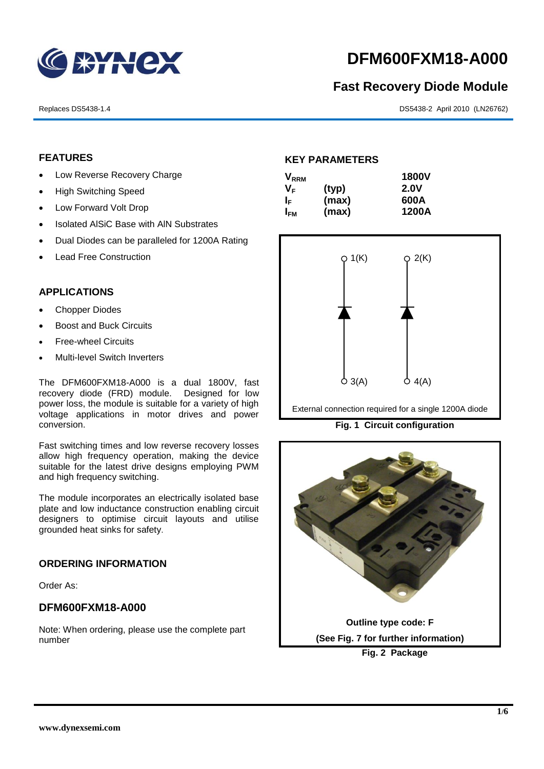

# **DFM600FXM18-A000**

# **Fast Recovery Diode Module**

Replaces DS5438-1.4 DS5438-2 April 2010 (LN26762)

# **FEATURES**

- Low Reverse Recovery Charge
- High Switching Speed
- Low Forward Volt Drop
- Isolated AISiC Base with AIN Substrates
- Dual Diodes can be paralleled for 1200A Rating
- Lead Free Construction

#### **APPLICATIONS**

- Chopper Diodes
- Boost and Buck Circuits
- Free-wheel Circuits
- Multi-level Switch Inverters

The DFM600FXM18-A000 is a dual 1800V, fast recovery diode (FRD) module. Designed for low power loss, the module is suitable for a variety of high voltage applications in motor drives and power conversion.

Fast switching times and low reverse recovery losses allow high frequency operation, making the device suitable for the latest drive designs employing PWM and high frequency switching.

The module incorporates an electrically isolated base plate and low inductance construction enabling circuit designers to optimise circuit layouts and utilise grounded heat sinks for safety.

### **ORDERING INFORMATION**

Order As:

# **DFM600FXM18-A000**

Note: When ordering, please use the complete part number

#### **KEY PARAMETERS**

| <b>V</b> <sub>RRM</sub> |       | <b>1800V</b> |
|-------------------------|-------|--------------|
| V <sub>F</sub>          | (typ) | <b>2.0V</b>  |
| I⊧                      | (max) | 600A         |
| I <sub>FМ</sub>         | (max) | 1200A        |



External connection required for a single 1200A diode

**Fig. 1 Circuit configuration**

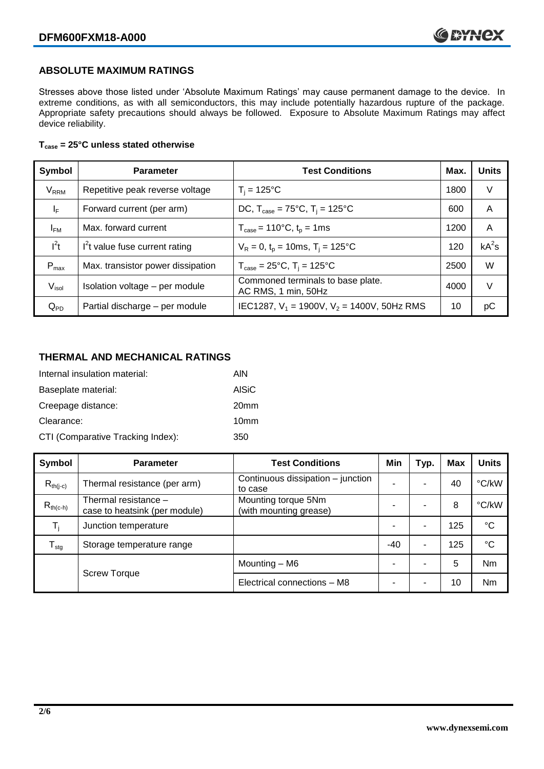# **ABSOLUTE MAXIMUM RATINGS**

Stresses above those listed under 'Absolute Maximum Ratings' may cause permanent damage to the device. In extreme conditions, as with all semiconductors, this may include potentially hazardous rupture of the package. Appropriate safety precautions should always be followed. Exposure to Absolute Maximum Ratings may affect device reliability.

### **Tcase = 25°C unless stated otherwise**

| Symbol                  | <b>Parameter</b>                  | <b>Test Conditions</b>                                      | Max. | <b>Units</b> |
|-------------------------|-----------------------------------|-------------------------------------------------------------|------|--------------|
| <b>V</b> <sub>RRM</sub> | Repetitive peak reverse voltage   | $T_i = 125$ °C                                              | 1800 | V            |
| $\mathsf{I}_\mathsf{F}$ | Forward current (per arm)         | DC, $T_{\text{case}} = 75^{\circ}$ C, $T_i = 125^{\circ}$ C | 600  | A            |
| $I_{FM}$                | Max. forward current              | $T_{\text{case}} = 110^{\circ}C, t_{p} = 1ms$               | 1200 | A            |
| $I^2t$                  | $I2t$ value fuse current rating   | $V_R = 0$ , $t_p = 10$ ms, $T_i = 125$ °C                   | 120  | $kA^2s$      |
| $P_{\text{max}}$        | Max. transistor power dissipation | $T_{\text{case}} = 25^{\circ}C$ , $T_i = 125^{\circ}C$      | 2500 | W            |
| $V_{\sf isol}$          | Isolation voltage - per module    | Commoned terminals to base plate.<br>AC RMS, 1 min, 50Hz    | 4000 | V            |
| $Q_{PD}$                | Partial discharge - per module    | IEC1287, $V_1$ = 1900V, $V_2$ = 1400V, 50Hz RMS             | 10   | рC           |

# **THERMAL AND MECHANICAL RATINGS**

| Internal insulation material:     | AIN              |
|-----------------------------------|------------------|
| Baseplate material:               | <b>AISiC</b>     |
| Creepage distance:                | 20 <sub>mm</sub> |
| Clearance:                        | 10 <sub>mm</sub> |
| CTI (Comparative Tracking Index): | 350              |

| Symbol           | <b>Parameter</b>                                      | <b>Test Conditions</b>                        | Min   | Typ. | Max | <b>Units</b>    |
|------------------|-------------------------------------------------------|-----------------------------------------------|-------|------|-----|-----------------|
| $R_{th(i-c)}$    | Thermal resistance (per arm)                          | Continuous dissipation – junction<br>to case  |       | -    | 40  | °C/kW           |
| $R_{th(c-h)}$    | Thermal resistance -<br>case to heatsink (per module) | Mounting torque 5Nm<br>(with mounting grease) |       | ۰    | 8   | °C/kW           |
| $T_i$            | Junction temperature                                  |                                               |       | -    | 125 | $\rm ^{\circ}C$ |
| $T_{\text{stg}}$ | Storage temperature range                             |                                               | $-40$ | ۰    | 125 | $^{\circ}C$     |
|                  |                                                       | Mounting - M6                                 |       | ۰    | 5   | <b>Nm</b>       |
|                  | <b>Screw Torque</b>                                   | Electrical connections - M8                   |       | ۰    | 10  | <b>Nm</b>       |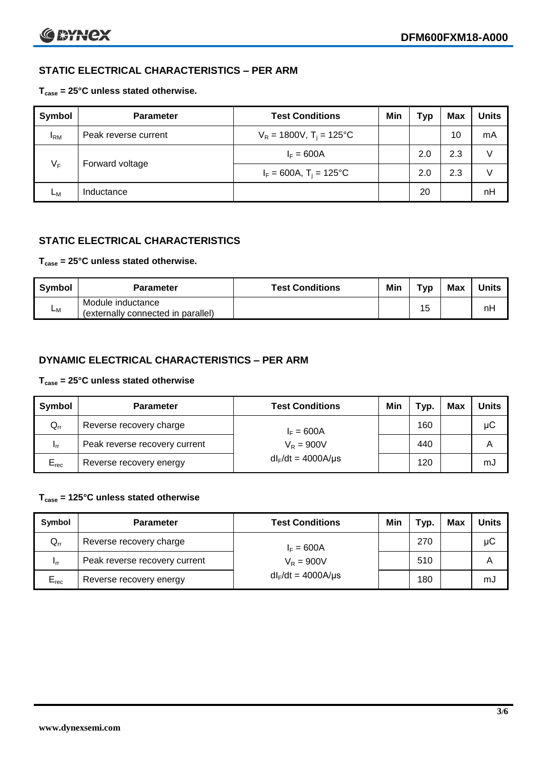# **STATIC ELECTRICAL CHARACTERISTICS – PER ARM**

# **Tcase = 25°C unless stated otherwise.**

| Symbol          | <b>Parameter</b>     | <b>Test Conditions</b>                 | Min | Typ | Max | <b>Units</b> |
|-----------------|----------------------|----------------------------------------|-----|-----|-----|--------------|
| <sup>I</sup> RM | Peak reverse current | $V_R = 1800V$ , T <sub>i</sub> = 125°C |     |     | 10  | mA           |
| $V_F$           |                      | $I_F = 600A$                           |     | 2.0 | 2.3 | v            |
|                 | Forward voltage      | $I_F = 600A$ , T <sub>i</sub> = 125°C  |     | 2.0 | 2.3 | v            |
| Lм              | Inductance           |                                        |     | 20  |     | nH           |

# **STATIC ELECTRICAL CHARACTERISTICS**

# **Tcase = 25°C unless stated otherwise.**

| Symbol | <b>Parameter</b>                                        | <b>Test Conditions</b> | Min | тур | Max | <b>Units</b> |
|--------|---------------------------------------------------------|------------------------|-----|-----|-----|--------------|
| Lм     | Module inductance<br>(externally connected in parallel) |                        |     | 15  |     | nH           |

# **DYNAMIC ELECTRICAL CHARACTERISTICS – PER ARM**

### **Tcase = 25°C unless stated otherwise**

| Symbol          | <b>Parameter</b>              | <b>Test Conditions</b>  | Min | Typ. | Max | <b>Units</b> |
|-----------------|-------------------------------|-------------------------|-----|------|-----|--------------|
| $Q_{rr}$        | Reverse recovery charge       | $I_F = 600A$            |     | 160  |     | μC           |
| 1 <sub>rr</sub> | Peak reverse recovery current | $V_R = 900V$            |     | 440  |     | Α            |
| $E_{rec}$       | Reverse recovery energy       | $dl_F/dt = 4000A/\mu s$ |     | 120  |     | mJ           |

# **Tcase = 125°C unless stated otherwise**

| Symbol    | <b>Parameter</b>              | <b>Test Conditions</b>   | Min | $\mathsf{y}$ | Max | Units |
|-----------|-------------------------------|--------------------------|-----|--------------|-----|-------|
| $Q_{rr}$  | Reverse recovery charge       | $I_F = 600A$             |     | 270          |     | μC    |
| - Irr     | Peak reverse recovery current | $V_R = 900V$             |     | 510          |     | Α     |
| $E_{rec}$ | Reverse recovery energy       | $dl_F/dt = 4000 A/\mu s$ |     | 180          |     | mJ    |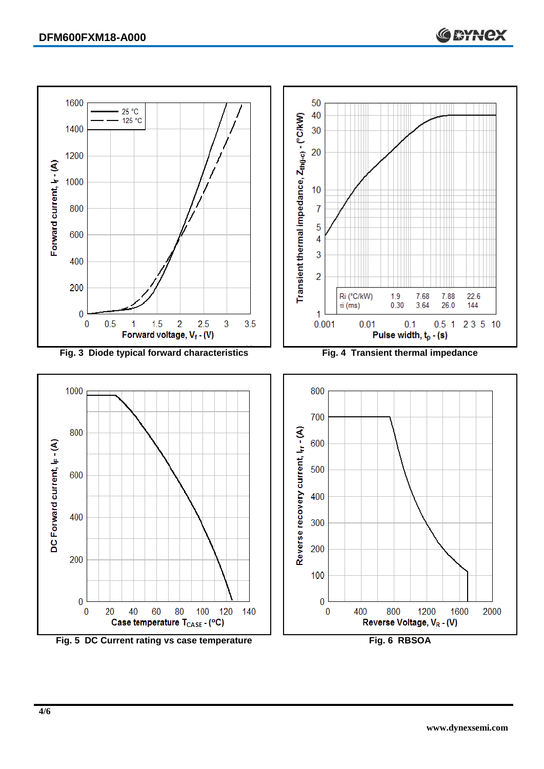

Fig. 5 DC Current rating vs case temperature **Fig. 6 RBSOA**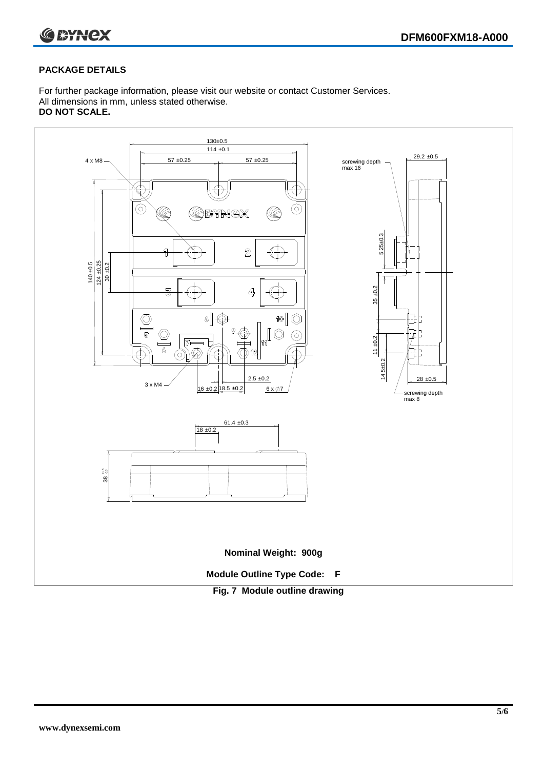



# **PACKAGE DETAILS**

For further package information, please visit our website or contact Customer Services. All dimensions in mm, unless stated otherwise. **DO NOT SCALE.**